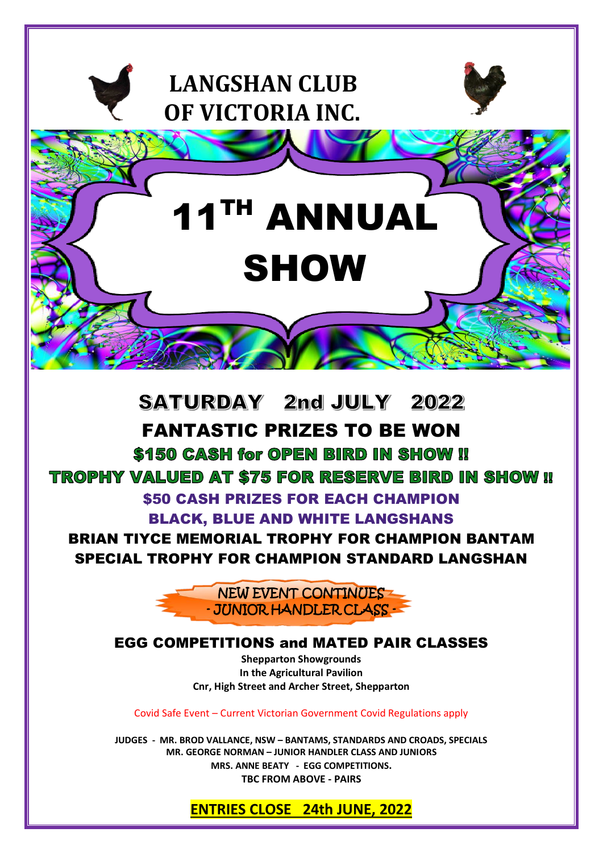

\$150 CASH for OPEN BIRD IN SHOW !! **TROPHY VALUED AT \$75 FOR RESERVE BIRD IN SHOW II** \$50 CASH PRIZES FOR EACH CHAMPION BLACK, BLUE AND WHITE LANGSHANS

BRIAN TIYCE MEMORIAL TROPHY FOR CHAMPION BANTAM SPECIAL TROPHY FOR CHAMPION STANDARD LANGSHAN

> l NEW EVENT CONTINUES - JUNIOR HANDLER CLASS -

# EGG COMPETITIONS and MATED PAIR CLASSES

**Shepparton Showgrounds In the Agricultural Pavilion Cnr, High Street and Archer Street, Shepparton**

Covid Safe Event – Current Victorian Government Covid Regulations apply

**JUDGES - MR. BROD VALLANCE, NSW – BANTAMS, STANDARDS AND CROADS, SPECIALS MR. GEORGE NORMAN – JUNIOR HANDLER CLASS AND JUNIORS MRS. ANNE BEATY - EGG COMPETITIONS. TBC FROM ABOVE - PAIRS**

**ENTRIES CLOSE 24th JUNE, 2022**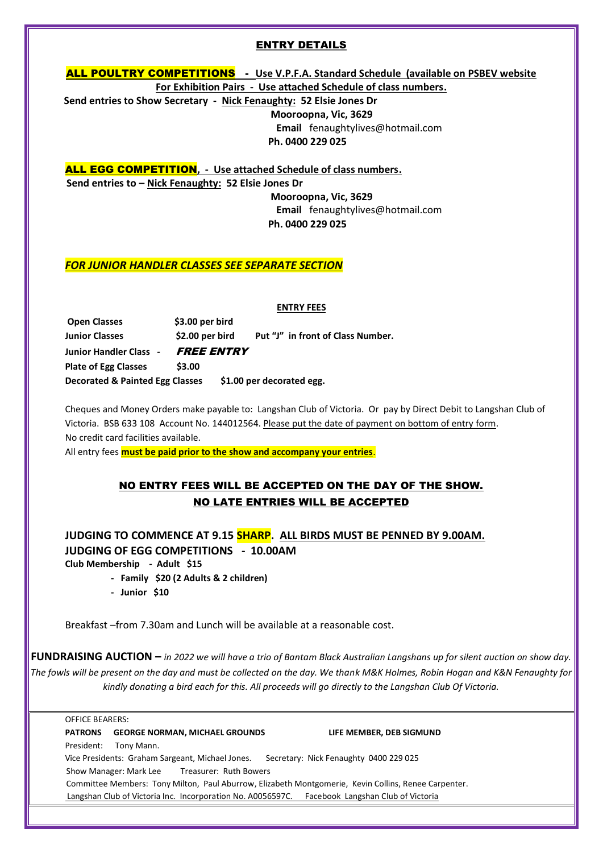# ENTRY DETAILS

ALL POULTRY COMPETITIONS - **Use V.P.F.A. Standard Schedule (available on PSBEV website For Exhibition Pairs - Use attached Schedule of class numbers.**

 **Send entries to Show Secretary - Nick Fenaughty: 52 Elsie Jones Dr**

 **Mooroopna, Vic, 3629**

 **Email** fenaughtylives@hotmail.com  **Ph. 0400 229 025**

ALL EGG COMPETITION**, - Use attached Schedule of class numbers. Send entries to – Nick Fenaughty: 52 Elsie Jones Dr Mooroopna, Vic, 3629 Email** fenaughtylives@hotmail.com

 **Ph. 0400 229 025**

## *FOR JUNIOR HANDLER CLASSES SEE SEPARATE SECTION*

|             | <b>ENTRY FEES</b> |
|-------------|-------------------|
| <b>bird</b> |                   |

**Open Classes** \$3.00 per  **Junior Classes \$2.00 per bird Put "J" in front of Class Number. Junior Handler Class** *-* FREE ENTRY **Plate of Egg Classes** \$3.00  **Decorated & Painted Egg Classes \$1.00 per decorated egg.** 

Cheques and Money Orders make payable to: Langshan Club of Victoria. Or pay by Direct Debit to Langshan Club of Victoria. BSB 633 108 Account No. 144012564. Please put the date of payment on bottom of entry form. No credit card facilities available.

All entry fees **must be paid prior to the show and accompany your entries**.

# NO ENTRY FEES WILL BE ACCEPTED ON THE DAY OF THE SHOW. NO LATE ENTRIES WILL BE ACCEPTED

 **JUDGING TO COMMENCE AT 9.15 SHARP. ALL BIRDS MUST BE PENNED BY 9.00AM. JUDGING OF EGG COMPETITIONS - 10.00AM Club Membership - Adult \$15**

- **Family \$20 (2 Adults & 2 children)**
- **Junior \$10**

I

Breakfast –from 7.30am and Lunch will be available at a reasonable cost.

**FUNDRAISING AUCTION –** *in 2022 we will have a trio of Bantam Black Australian Langshans up for silent auction on show day. The fowls will be present on the day and must be collected on the day. We thank M&K Holmes, Robin Hogan and K&N Fenaughty for kindly donating a bird each for this. All proceeds will go directly to the Langshan Club Of Victoria.*

OFFICE BEARERS: **PATRONS GEORGE NORMAN, MICHAEL GROUNDS LIFE MEMBER, DEB SIGMUND** President: Tony Mann. Vice Presidents: Graham Sargeant, Michael Jones. Secretary: Nick Fenaughty 0400 229 025 Show Manager: Mark Lee Treasurer: Ruth Bowers Committee Members: Tony Milton, Paul Aburrow, Elizabeth Montgomerie, Kevin Collins, Renee Carpenter. Langshan Club of Victoria Inc. Incorporation No. A0056597C. Facebook Langshan Club of Victoria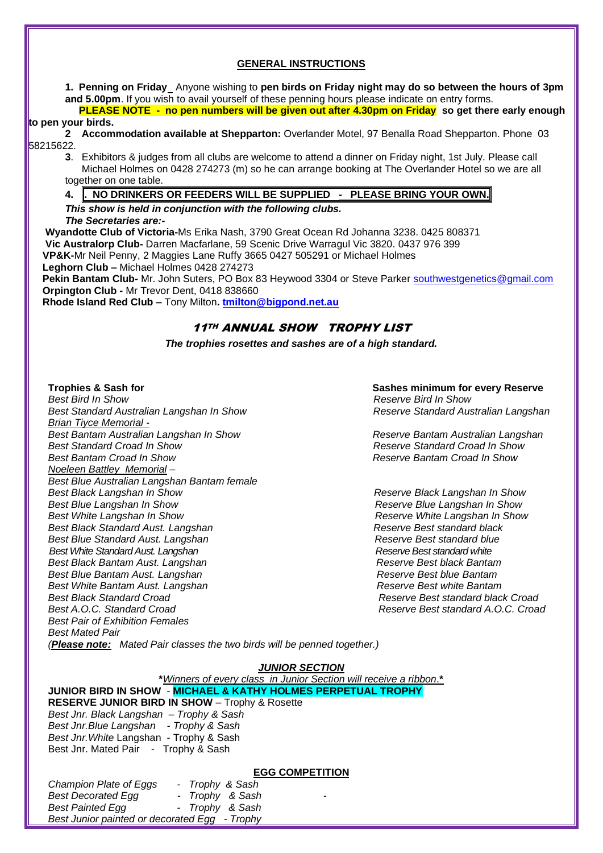#### **GENERAL INSTRUCTIONS**

**1. Penning on Friday** Anyone wishing to **pen birds on Friday night may do so between the hours of 3pm and 5.00pm**. If you wish to avail yourself of these penning hours please indicate on entry forms.

 **PLEASE NOTE - no pen numbers will be given out after 4.30pm on Friday so get there early enough to pen your birds.**

#### **2 Accommodation available at Shepparton:** Overlander Motel, 97 Benalla Road Shepparton. Phone 03 58215622.

**3**. Exhibitors & judges from all clubs are welcome to attend a dinner on Friday night, 1st July. Please call Michael Holmes on 0428 274273 (m) so he can arrange booking at The Overlander Hotel so we are all together on one table.

### **4. . NO DRINKERS OR FEEDERS WILL BE SUPPLIED - PLEASE BRING YOUR OWN.**

#### *This show is held in conjunction with the following clubs. The Secretaries are:-*

 **Wyandotte Club of Victoria-**Ms Erika Nash, 3790 Great Ocean Rd Johanna 3238. 0425 808371 **Vic Australorp Club-** Darren Macfarlane, 59 Scenic Drive Warragul Vic 3820. 0437 976 399  **VP&K-**Mr Neil Penny, 2 Maggies Lane Ruffy 3665 0427 505291 or Michael Holmes

 **Leghorn Club –** Michael Holmes 0428 274273

 **Pekin Bantam Club-** Mr. John Suters, PO Box 83 Heywood 3304 or Steve Parker [southwestgenetics@gmail.com](mailto:southwestgenetics@gmail.com) **Orpington Club -** Mr Trevor Dent, 0418 838660

 **Rhode Island Red Club –** Tony Milton**. [tmilton@bigpond.net.au](mailto:tmilton@bigpond.net.au)**

# 11TH ANNUAL SHOW TROPHY LIST

*The trophies rosettes and sashes are of a high standard.*

 $\overline{\phantom{a}}$ 

 *Best Bird In Show Reserve Bird In Show* **Best Standard Australian Langshan In Show**  *Brian Tiyce Memorial - Best Bantam Australian Langshan In Show Reserve Bantam Australian Langshan Best Standard Croad In Show Reserve Standard Croad In Show Best Bantam Croad In Show Reserve Bantam Croad In Show Noeleen Battley Memorial – Best Blue Australian Langshan Bantam female Best Blue Langshan In Show*<br>Best White Langshan In Show **Reserve Blue Langshan In Show**<br>Reserve White Langshan In Show *Best Black Standard Aust. Langshan Best Blue Standard Aust. Langshan Reserve Best standard blue Best White Standard Aust. Langshan Reserve Best standard white Best Black Bantam Aust. Langshan Best Blue Bantam Aust. Langshan Reserve Best blue Bantam Best White Bantam Aust. Langshan Best white Bantam**Reserve Best white Bantam Best Black Standard Croad Reserve Best standard black Croad Best Pair of Exhibition Females Best Mated Pair (Please note: Mated Pair classes the two birds will be penned together.)*

**Trophies & Sash for Sashes minimum for every Reserve**

**Reserve Black Langshan In Show** *Reserve White Langshan In Show Reserve Best standard black Reserve Best standard A.O.C. Croad* 

#### *JUNIOR SECTION*

**\****Winners of every class in Junior Section will receive a ribbon*.**\* JUNIOR BIRD IN SHOW** - **MICHAEL & KATHY HOLMES PERPETUAL TROPHY RESERVE JUNIOR BIRD IN SHOW** – Trophy & Rosette *Best Jnr. Black Langshan – Trophy & Sash Best Jnr.Blue Langshan - Trophy & Sash Best Jnr.White* Langshan - Trophy & Sash

### **EGG COMPETITION**

| Champion Plate of Eggs                        | - Trophy & Sash |   |
|-----------------------------------------------|-----------------|---|
| <b>Best Decorated Egg</b>                     | - Trophy & Sash | - |
| <b>Best Painted Egg</b>                       | - Trophy & Sash |   |
| Best Junior painted or decorated Egg - Trophy |                 |   |

Best Jnr. Mated Pair - Trophy & Sash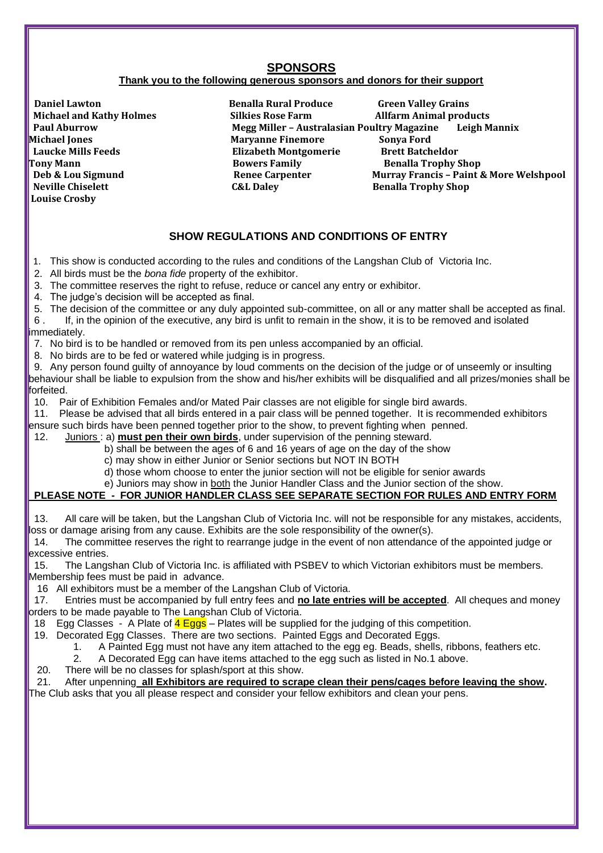# **SPONSORS**

## **Thank you to the following generous sponsors and donors for their support**

 $\overline{\phantom{a}}$ **Daniel Lawton Conserverse Conserverse Conserverse Conserverse Conserverse Conserverse Conserverse Conserverse Conserverse Conserverse Conserverse Conserverse Conserverse Conserverse Conserverse Conserverse Conserverse Con Michael Jones Maryanne Finemore Sonya Ford Laucke Mills Feeds Elizabeth Montgomerie Brett Batcheldor Louise Crosby** 

**Michael and Kathy Holmes**<br>**Silkies Rose Farm** Allfarm Animal products<br>Megg Miller - Australasian Poultry Magazine Leigh M  **Megg Miller - Australasian Poultry Magazine Leigh Mannix Tony Mann Bowers Family Benalla Trophy Shop Deb & Lou Sigmund Renee Carpenter Murray Francis - Paint & More Welshpool<br>
Neville Chiselett Carpenter C&L Daley Renalla Trophy Shop C&L Daley Benalla Trophy Shop** 

# **SHOW REGULATIONS AND CONDITIONS OF ENTRY**

1. This show is conducted according to the rules and conditions of the Langshan Club of Victoria Inc.

2. All birds must be the *bona fide* property of the exhibitor.

3. The committee reserves the right to refuse, reduce or cancel any entry or exhibitor.

- 4. The judge's decision will be accepted as final.
- 5. The decision of the committee or any duly appointed sub-committee, on all or any matter shall be accepted as final.

6 . If, in the opinion of the executive, any bird is unfit to remain in the show, it is to be removed and isolated immediately.

- 7. No bird is to be handled or removed from its pen unless accompanied by an official.
- 8. No birds are to be fed or watered while judging is in progress.

9. Any person found guilty of annoyance by loud comments on the decision of the judge or of unseemly or insulting behaviour shall be liable to expulsion from the show and his/her exhibits will be disqualified and all prizes/monies shall be forfeited.

10. Pair of Exhibition Females and/or Mated Pair classes are not eligible for single bird awards.

11. Please be advised that all birds entered in a pair class will be penned together. It is recommended exhibitors ensure such birds have been penned together prior to the show, to prevent fighting when penned.

12. Juniors : a) **must pen their own birds**, under supervision of the penning steward.

- b) shall be between the ages of 6 and 16 years of age on the day of the show
- c) may show in either Junior or Senior sections but NOT IN BOTH
- d) those whom choose to enter the junior section will not be eligible for senior awards
- e) Juniors may show in both the Junior Handler Class and the Junior section of the show.

# **PLEASE NOTE - FOR JUNIOR HANDLER CLASS SEE SEPARATE SECTION FOR RULES AND ENTRY FORM**

13. All care will be taken, but the Langshan Club of Victoria Inc. will not be responsible for any mistakes, accidents, loss or damage arising from any cause. Exhibits are the sole responsibility of the owner(s).<br>14. The committee reserves the right to rearrange judge in the event of non attendance

The committee reserves the right to rearrange judge in the event of non attendance of the appointed judge or excessive entries.

15. The Langshan Club of Victoria Inc. is affiliated with PSBEV to which Victorian exhibitors must be members. Membership fees must be paid in advance.

16 All exhibitors must be a member of the Langshan Club of Victoria.

17. Entries must be accompanied by full entry fees and **no late entries will be accepted**. All cheques and money orders to be made payable to The Langshan Club of Victoria.

- 18 Egg Classes A Plate of  $\frac{4 \text{ Eggs}}{2}$  Plates will be supplied for the judging of this competition.
- 19. Decorated Egg Classes. There are two sections. Painted Eggs and Decorated Eggs.
	- 1. A Painted Egg must not have any item attached to the egg eg. Beads, shells, ribbons, feathers etc.
	- 2. A Decorated Egg can have items attached to the egg such as listed in No.1 above.
- 20. There will be no classes for splash/sport at this show.

 21. After unpenning **all Exhibitors are required to scrape clean their pens/cages before leaving the show.** The Club asks that you all please respect and consider your fellow exhibitors and clean your pens.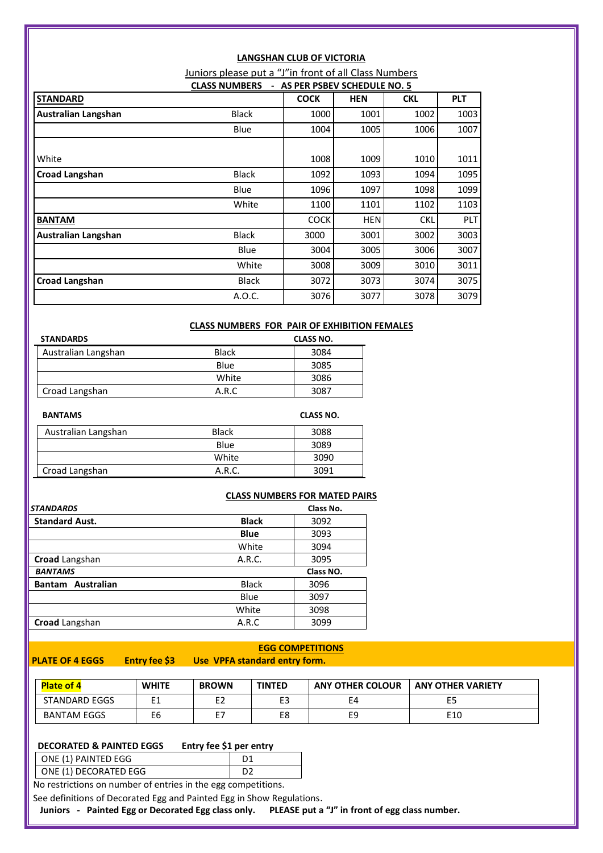|                            | <b>LANGSHAN CLUB OF VICTORIA</b>                      |                               |            |            |            |  |  |
|----------------------------|-------------------------------------------------------|-------------------------------|------------|------------|------------|--|--|
|                            | Juniors please put a "J"in front of all Class Numbers |                               |            |            |            |  |  |
|                            | <b>CLASS NUMBERS</b>                                  | - AS PER PSBEV SCHEDULE NO. 5 |            |            |            |  |  |
| <b>STANDARD</b>            |                                                       | <b>COCK</b>                   | <b>HEN</b> | <b>CKL</b> | <b>PLT</b> |  |  |
| <b>Australian Langshan</b> | <b>Black</b>                                          | 1000                          | 1001       | 1002       | 1003       |  |  |
|                            | Blue                                                  | 1004                          | 1005       | 1006       | 1007       |  |  |
|                            |                                                       |                               |            |            |            |  |  |
| White                      |                                                       | 1008                          | 1009       | 1010       | 1011       |  |  |
| <b>Croad Langshan</b>      | <b>Black</b>                                          | 1092                          | 1093       | 1094       | 1095       |  |  |
|                            | Blue                                                  | 1096                          | 1097       | 1098       | 1099       |  |  |
|                            | White                                                 | 1100                          | 1101       | 1102       | 1103       |  |  |
| <b>BANTAM</b>              |                                                       | <b>COCK</b>                   | <b>HEN</b> | <b>CKL</b> | <b>PLT</b> |  |  |
| Australian Langshan        | <b>Black</b>                                          | 3000                          | 3001       | 3002       | 3003       |  |  |
|                            | Blue                                                  | 3004                          | 3005       | 3006       | 3007       |  |  |
|                            | White                                                 | 3008                          | 3009       | 3010       | 3011       |  |  |
| <b>Croad Langshan</b>      | <b>Black</b>                                          | 3072                          | 3073       | 3074       | 3075       |  |  |
|                            | A.O.C.                                                | 3076                          | 3077       | 3078       | 3079       |  |  |

### **CLASS NUMBERS FOR PAIR OF EXHIBITION FEMALES**

| <b>STANDARDS</b>    |              | <b>CLASS NO.</b> |
|---------------------|--------------|------------------|
| Australian Langshan | <b>Black</b> | 3084             |
|                     | Blue         | 3085             |
|                     | White        | 3086             |
| Croad Langshan      | A.R.C        | 3087             |

| <b>BANTAMS</b>      |              | <b>CLASS NO.</b> |
|---------------------|--------------|------------------|
| Australian Langshan | <b>Black</b> | 3088             |
|                     | Blue         | 3089             |
|                     | White        | 3090             |
| Croad Langshan      | A.R.C.       | 3091             |

| <b>CLASS NUMBERS FOR MATED PAIRS</b> |  |
|--------------------------------------|--|
| Class No.                            |  |

| <b>STANDARDS</b>            |              | Class No. |
|-----------------------------|--------------|-----------|
| <b>Standard Aust.</b>       | <b>Black</b> | 3092      |
|                             | <b>Blue</b>  | 3093      |
|                             | White        | 3094      |
| Croad Langshan              | A.R.C.       | 3095      |
| <b>BANTAMS</b>              |              | Class NO. |
| Australian<br><b>Bantam</b> | <b>Black</b> | 3096      |
|                             | Blue         | 3097      |
|                             | White        | 3098      |
| <b>Croad</b> Langshan       | A.R.C        | 3099      |

I

#### **EGG COMPETITIONS PLATE OF 4 EGGS Entry fee \$3 Use VPFA standard entry form.**

| <b>Plate of 4</b>    | <b>WHITE</b> | <b>BROWN</b> | <b>TINTED</b> | <b>ANY OTHER COLOUR</b> | <b>ANY OTHER VARIETY</b> |
|----------------------|--------------|--------------|---------------|-------------------------|--------------------------|
| <b>STANDARD EGGS</b> | ᆫ            | ᆫᄼ           | $-$<br>◡      | E4                      | E5                       |
| <b>BANTAM EGGS</b>   | E6           | - 1          | Еŏ            | E9                      | E10                      |

# **DECORATED & PAINTED EGGS Entry fee \$1 per entry**

| $\vert$ ONE (1) PAINTED EGG |  |
|-----------------------------|--|
| ONE (1) DECORATED EGG       |  |
|                             |  |

No restrictions on number of entries in the egg competitions.

See definitions of Decorated Egg and Painted Egg in Show Regulations.

 **Juniors - Painted Egg or Decorated Egg class only. PLEASE put a "J" in front of egg class number.**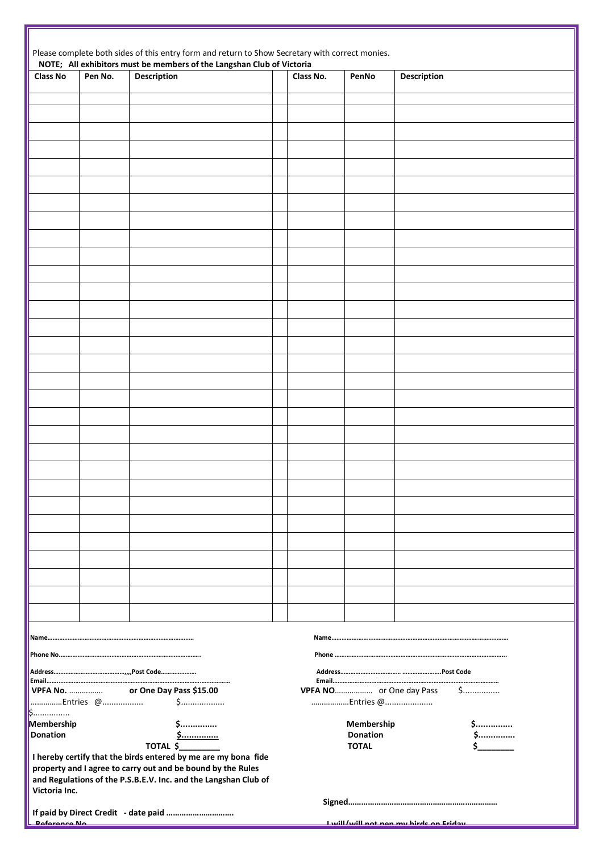|                           |         | Please complete both sides of this entry form and return to Show Secretary with correct monies.                                                                                                  |           |                          |                                                     |
|---------------------------|---------|--------------------------------------------------------------------------------------------------------------------------------------------------------------------------------------------------|-----------|--------------------------|-----------------------------------------------------|
| <b>Class No</b>           | Pen No. | NOTE; All exhibitors must be members of the Langshan Club of Victoria<br><b>Description</b>                                                                                                      | Class No. | PenNo                    | Description                                         |
|                           |         |                                                                                                                                                                                                  |           |                          |                                                     |
|                           |         |                                                                                                                                                                                                  |           |                          |                                                     |
|                           |         |                                                                                                                                                                                                  |           |                          |                                                     |
|                           |         |                                                                                                                                                                                                  |           |                          |                                                     |
|                           |         |                                                                                                                                                                                                  |           |                          |                                                     |
|                           |         |                                                                                                                                                                                                  |           |                          |                                                     |
|                           |         |                                                                                                                                                                                                  |           |                          |                                                     |
|                           |         |                                                                                                                                                                                                  |           |                          |                                                     |
|                           |         |                                                                                                                                                                                                  |           |                          |                                                     |
|                           |         |                                                                                                                                                                                                  |           |                          |                                                     |
|                           |         |                                                                                                                                                                                                  |           |                          |                                                     |
|                           |         |                                                                                                                                                                                                  |           |                          |                                                     |
|                           |         |                                                                                                                                                                                                  |           |                          |                                                     |
|                           |         |                                                                                                                                                                                                  |           |                          |                                                     |
|                           |         |                                                                                                                                                                                                  |           |                          |                                                     |
|                           |         |                                                                                                                                                                                                  |           |                          |                                                     |
|                           |         |                                                                                                                                                                                                  |           |                          |                                                     |
|                           |         |                                                                                                                                                                                                  |           |                          |                                                     |
|                           |         |                                                                                                                                                                                                  |           |                          |                                                     |
|                           |         |                                                                                                                                                                                                  |           |                          |                                                     |
|                           |         |                                                                                                                                                                                                  |           |                          |                                                     |
|                           |         |                                                                                                                                                                                                  |           |                          |                                                     |
|                           |         |                                                                                                                                                                                                  |           |                          |                                                     |
|                           |         |                                                                                                                                                                                                  |           |                          |                                                     |
|                           |         |                                                                                                                                                                                                  |           |                          |                                                     |
|                           |         |                                                                                                                                                                                                  |           |                          |                                                     |
|                           |         |                                                                                                                                                                                                  |           |                          |                                                     |
|                           |         |                                                                                                                                                                                                  |           |                          |                                                     |
|                           |         |                                                                                                                                                                                                  |           |                          |                                                     |
|                           |         |                                                                                                                                                                                                  |           |                          |                                                     |
|                           |         |                                                                                                                                                                                                  |           |                          |                                                     |
|                           |         |                                                                                                                                                                                                  |           |                          |                                                     |
|                           |         |                                                                                                                                                                                                  |           |                          |                                                     |
| <b>VPFA No. </b>          |         | or One Day Pass \$15.00                                                                                                                                                                          |           | VPFA NO or One day Pass  | $$$                                                 |
| Entries @<br>$\mathsf{S}$ |         | $\mathsf{S}$                                                                                                                                                                                     |           | Entries @                |                                                     |
| Membership                |         | \$                                                                                                                                                                                               |           | Membership               | \$                                                  |
| <b>Donation</b>           |         | \$<br>$TOTAL$ \$                                                                                                                                                                                 |           | Donation<br><b>TOTAL</b> | \$                                                  |
| Victoria Inc.             |         | I hereby certify that the birds entered by me are my bona fide<br>property and I agree to carry out and be bound by the Rules<br>and Regulations of the P.S.B.E.V. Inc. and the Langshan Club of |           |                          |                                                     |
|                           |         |                                                                                                                                                                                                  |           |                          |                                                     |
| <b>Deference Ne</b>       |         |                                                                                                                                                                                                  |           |                          | يتمامنع الممالح المعتمل يتمع الممالك الشبيل للنسياء |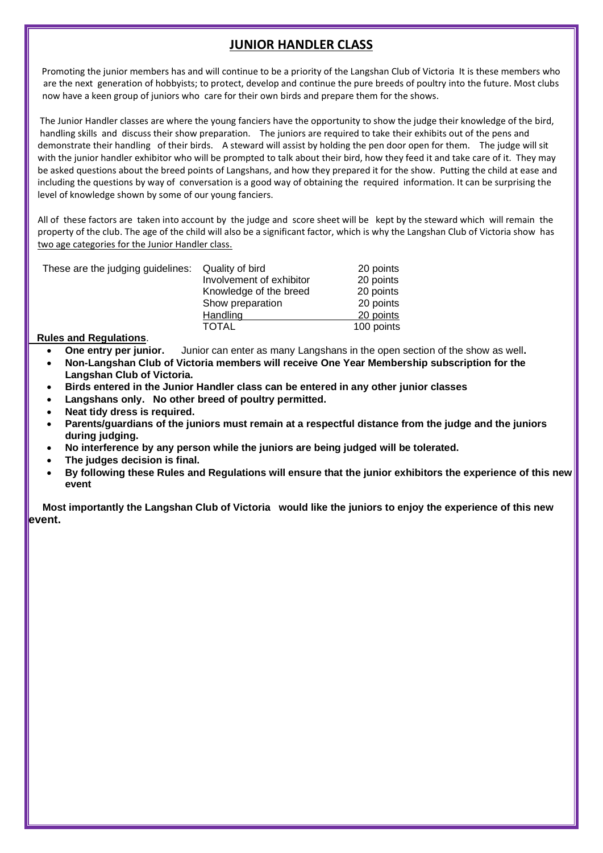# **JUNIOR HANDLER CLASS**

Promoting the junior members has and will continue to be a priority of the Langshan Club of Victoria It is these members who are the next generation of hobbyists; to protect, develop and continue the pure breeds of poultry into the future. Most clubs now have a keen group of juniors who care for their own birds and prepare them for the shows.

 The Junior Handler classes are where the young fanciers have the opportunity to show the judge their knowledge of the bird, handling skills and discuss their show preparation. The juniors are required to take their exhibits out of the pens and demonstrate their handling of their birds. A steward will assist by holding the pen door open for them. The judge will sit with the junior handler exhibitor who will be prompted to talk about their bird, how they feed it and take care of it. They may be asked questions about the breed points of Langshans, and how they prepared it for the show. Putting the child at ease and including the questions by way of conversation is a good way of obtaining the required information. It can be surprising the level of knowledge shown by some of our young fanciers.

 All of these factors are taken into account by the judge and score sheet will be kept by the steward which will remain the property of the club. The age of the child will also be a significant factor, which is why the Langshan Club of Victoria show has two age categories for the Junior Handler class.

| These are the judging guidelines: Quality of bird |                          | 20 points  |
|---------------------------------------------------|--------------------------|------------|
|                                                   | Involvement of exhibitor | 20 points  |
|                                                   | Knowledge of the breed   | 20 points  |
|                                                   | Show preparation         | 20 points  |
|                                                   | Handling                 | 20 points  |
|                                                   | <b>TOTAL</b>             | 100 points |

 **Rules and Regulations**.

I

- **One entry per junior.** Junior can enter as many Langshans in the open section of the show as well**.**
- **Non-Langshan Club of Victoria members will receive One Year Membership subscription for the Langshan Club of Victoria.**
- **Birds entered in the Junior Handler class can be entered in any other junior classes**
- **Langshans only. No other breed of poultry permitted.**
- **Neat tidy dress is required.**
- **Parents/guardians of the juniors must remain at a respectful distance from the judge and the juniors during judging.**
- **No interference by any person while the juniors are being judged will be tolerated.**
- **The judges decision is final.**
- **By following these Rules and Regulations will ensure that the junior exhibitors the experience of this new event**

 **Most importantly the Langshan Club of Victoria would like the juniors to enjoy the experience of this new event.**